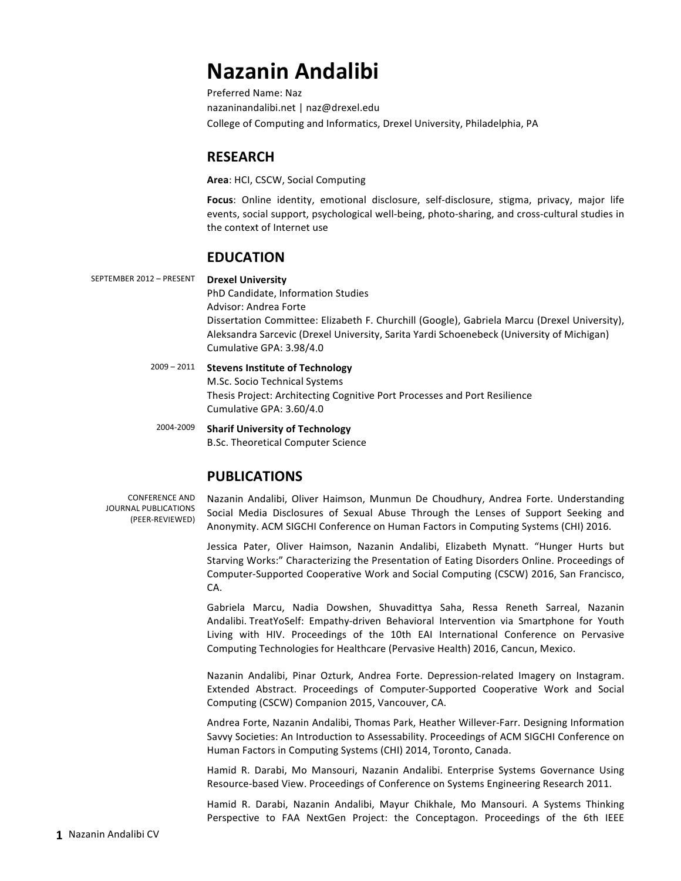# **Nazanin Andalibi**

Preferred Name: Naz nazaninandalibi.net | naz@drexel.edu College of Computing and Informatics, Drexel University, Philadelphia, PA

# **RESEARCH**

**Area: HCI, CSCW, Social Computing** 

**Focus:** Online identity, emotional disclosure, self-disclosure, stigma, privacy, major life events, social support, psychological well-being, photo-sharing, and cross-cultural studies in the context of Internet use

# **EDUCATION**

SEPTEMBER 2012 – PRESENT **Drexel University**

PhD Candidate, Information Studies Advisor: Andrea Forte Dissertation Committee: Elizabeth F. Churchill (Google), Gabriela Marcu (Drexel University), Aleksandra Sarcevic (Drexel University, Sarita Yardi Schoenebeck (University of Michigan) Cumulative GPA: 3.98/4.0

#### 2009 - 2011 **Stevens Institute of Technology**

M.Sc. Socio Technical Systems Thesis Project: Architecting Cognitive Port Processes and Port Resilience Cumulative GPA: 3.60/4.0

2004-2009 **Sharif University of Technology** B.Sc. Theoretical Computer Science

# **PUBLICATIONS**

CONFERENCE AND JOURNAL PUBLICATIONS (PEER-REVIEWED)

Nazanin Andalibi, Oliver Haimson, Munmun De Choudhury, Andrea Forte. Understanding Social Media Disclosures of Sexual Abuse Through the Lenses of Support Seeking and Anonymity. ACM SIGCHI Conference on Human Factors in Computing Systems (CHI) 2016.

Jessica Pater, Oliver Haimson, Nazanin Andalibi, Elizabeth Mynatt. "Hunger Hurts but Starving Works:" Characterizing the Presentation of Eating Disorders Online. Proceedings of Computer-Supported Cooperative Work and Social Computing (CSCW) 2016, San Francisco, CA.

Gabriela Marcu, Nadia Dowshen, Shuvadittya Saha, Ressa Reneth Sarreal, Nazanin Andalibi. TreatYoSelf: Empathy-driven Behavioral Intervention via Smartphone for Youth Living with HIV. Proceedings of the 10th EAI International Conference on Pervasive Computing Technologies for Healthcare (Pervasive Health) 2016, Cancun, Mexico.

Nazanin Andalibi, Pinar Ozturk, Andrea Forte. Depression-related Imagery on Instagram. Extended Abstract. Proceedings of Computer-Supported Cooperative Work and Social Computing (CSCW) Companion 2015, Vancouver, CA.

Andrea Forte, Nazanin Andalibi, Thomas Park, Heather Willever-Farr. Designing Information Savvy Societies: An Introduction to Assessability. Proceedings of ACM SIGCHI Conference on Human Factors in Computing Systems (CHI) 2014, Toronto, Canada.

Hamid R. Darabi, Mo Mansouri, Nazanin Andalibi. Enterprise Systems Governance Using Resource-based View. Proceedings of Conference on Systems Engineering Research 2011.

Hamid R. Darabi, Nazanin Andalibi, Mayur Chikhale, Mo Mansouri. A Systems Thinking Perspective to FAA NextGen Project: the Conceptagon. Proceedings of the 6th IEEE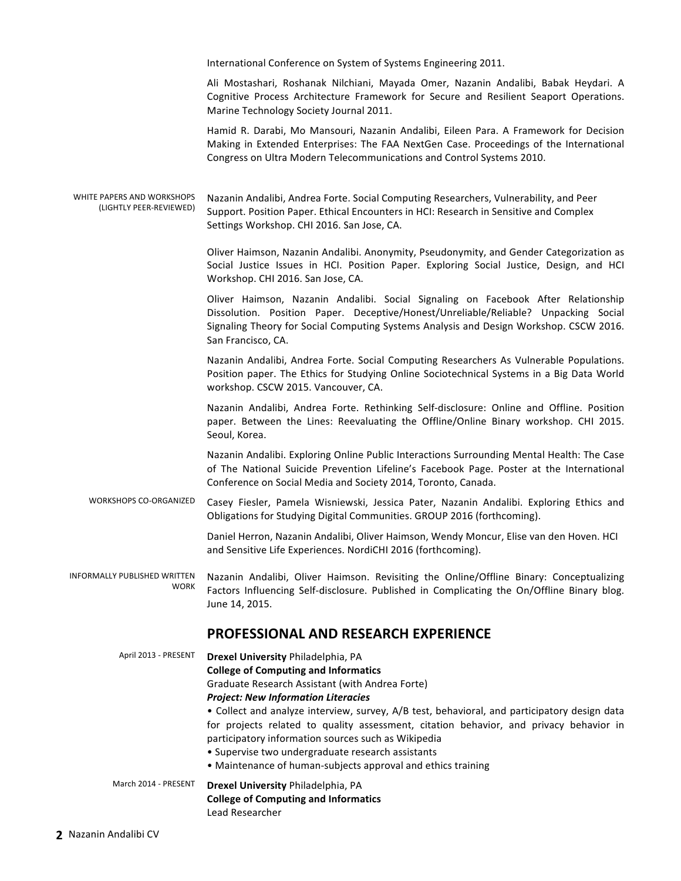International Conference on System of Systems Engineering 2011.

Ali Mostashari, Roshanak Nilchiani, Mayada Omer, Nazanin Andalibi, Babak Heydari. A Cognitive Process Architecture Framework for Secure and Resilient Seaport Operations. Marine Technology Society Journal 2011.

Hamid R. Darabi, Mo Mansouri, Nazanin Andalibi, Eileen Para. A Framework for Decision Making in Extended Enterprises: The FAA NextGen Case. Proceedings of the International Congress on Ultra Modern Telecommunications and Control Systems 2010.

WHITE PAPERS AND WORKSHOPS (LIGHTLY PEER-REVIEWED) Nazanin Andalibi, Andrea Forte. Social Computing Researchers, Vulnerability, and Peer Support. Position Paper. Ethical Encounters in HCI: Research in Sensitive and Complex Settings Workshop. CHI 2016. San Jose, CA.

> Oliver Haimson, Nazanin Andalibi. Anonymity, Pseudonymity, and Gender Categorization as Social Justice Issues in HCI. Position Paper. Exploring Social Justice, Design, and HCI Workshop. CHI 2016. San Jose, CA.

> Oliver Haimson, Nazanin Andalibi. Social Signaling on Facebook After Relationship Dissolution. Position Paper. Deceptive/Honest/Unreliable/Reliable? Unpacking Social Signaling Theory for Social Computing Systems Analysis and Design Workshop. CSCW 2016. San Francisco, CA.

> Nazanin Andalibi, Andrea Forte. Social Computing Researchers As Vulnerable Populations. Position paper. The Ethics for Studying Online Sociotechnical Systems in a Big Data World workshop. CSCW 2015. Vancouver, CA.

> Nazanin Andalibi, Andrea Forte. Rethinking Self-disclosure: Online and Offline. Position paper. Between the Lines: Reevaluating the Offline/Online Binary workshop. CHI 2015. Seoul, Korea.

> Nazanin Andalibi. Exploring Online Public Interactions Surrounding Mental Health: The Case of The National Suicide Prevention Lifeline's Facebook Page. Poster at the International Conference on Social Media and Society 2014, Toronto, Canada.

WORKSHOPS CO-ORGANIZED Casey Fiesler, Pamela Wisniewski, Jessica Pater, Nazanin Andalibi. Exploring Ethics and Obligations for Studying Digital Communities. GROUP 2016 (forthcoming).

> Daniel Herron, Nazanin Andalibi, Oliver Haimson, Wendy Moncur, Elise van den Hoven. HCI and Sensitive Life Experiences. NordiCHI 2016 (forthcoming).

INFORMALLY PUBLISHED WRITTEN **WORK** Nazanin Andalibi, Oliver Haimson. Revisiting the Online/Offline Binary: Conceptualizing Factors Influencing Self-disclosure. Published in Complicating the On/Offline Binary blog. June 14, 2015.

## **PROFESSIONAL AND RESEARCH EXPERIENCE**

April 2013 - PRESENT **Drexel University** Philadelphia, PA **College of Computing and Informatics** Graduate Research Assistant (with Andrea Forte) **Project: New Information Literacies** • Collect and analyze interview, survey, A/B test, behavioral, and participatory design data for projects related to quality assessment, citation behavior, and privacy behavior in participatory information sources such as Wikipedia • Supervise two undergraduate research assistants • Maintenance of human-subjects approval and ethics training March 2014 - PRESENT **Drexel University** Philadelphia, PA **College of Computing and Informatics** Lead Researcher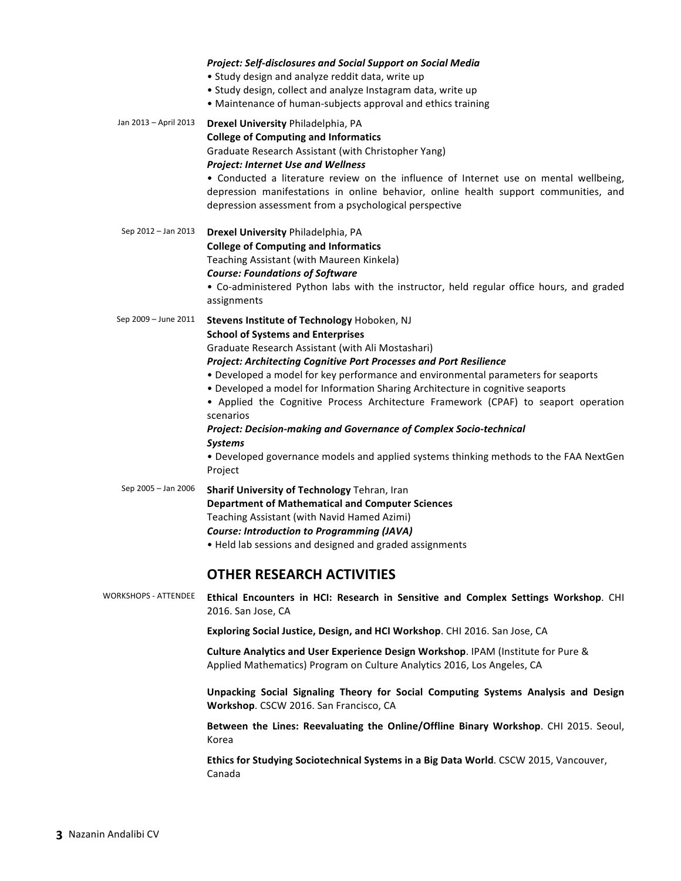|                             | <b>Project: Self-disclosures and Social Support on Social Media</b><br>• Study design and analyze reddit data, write up<br>• Study design, collect and analyze Instagram data, write up<br>• Maintenance of human-subjects approval and ethics training                                                                                                                                                                                                                                                                                                                                                                                                                                  |
|-----------------------------|------------------------------------------------------------------------------------------------------------------------------------------------------------------------------------------------------------------------------------------------------------------------------------------------------------------------------------------------------------------------------------------------------------------------------------------------------------------------------------------------------------------------------------------------------------------------------------------------------------------------------------------------------------------------------------------|
| Jan 2013 - April 2013       | Drexel University Philadelphia, PA<br><b>College of Computing and Informatics</b><br>Graduate Research Assistant (with Christopher Yang)<br><b>Project: Internet Use and Wellness</b><br>• Conducted a literature review on the influence of Internet use on mental wellbeing,<br>depression manifestations in online behavior, online health support communities, and<br>depression assessment from a psychological perspective                                                                                                                                                                                                                                                         |
| Sep 2012 - Jan 2013         | Drexel University Philadelphia, PA<br><b>College of Computing and Informatics</b><br>Teaching Assistant (with Maureen Kinkela)<br><b>Course: Foundations of Software</b><br>• Co-administered Python labs with the instructor, held regular office hours, and graded<br>assignments                                                                                                                                                                                                                                                                                                                                                                                                      |
| Sep 2009 - June 2011        | Stevens Institute of Technology Hoboken, NJ<br><b>School of Systems and Enterprises</b><br>Graduate Research Assistant (with Ali Mostashari)<br>Project: Architecting Cognitive Port Processes and Port Resilience<br>• Developed a model for key performance and environmental parameters for seaports<br>. Developed a model for Information Sharing Architecture in cognitive seaports<br>• Applied the Cognitive Process Architecture Framework (CPAF) to seaport operation<br>scenarios<br>Project: Decision-making and Governance of Complex Socio-technical<br><b>Systems</b><br>. Developed governance models and applied systems thinking methods to the FAA NextGen<br>Project |
| Sep 2005 - Jan 2006         | Sharif University of Technology Tehran, Iran<br><b>Department of Mathematical and Computer Sciences</b><br>Teaching Assistant (with Navid Hamed Azimi)<br><b>Course: Introduction to Programming (JAVA)</b><br>. Held lab sessions and designed and graded assignments                                                                                                                                                                                                                                                                                                                                                                                                                   |
|                             | <b>OTHER RESEARCH ACTIVITIES</b>                                                                                                                                                                                                                                                                                                                                                                                                                                                                                                                                                                                                                                                         |
| <b>WORKSHOPS - ATTENDEE</b> | Ethical Encounters in HCI: Research in Sensitive and Complex Settings Workshop. CHI<br>2016. San Jose, CA                                                                                                                                                                                                                                                                                                                                                                                                                                                                                                                                                                                |
|                             | Exploring Social Justice, Design, and HCI Workshop. CHI 2016. San Jose, CA                                                                                                                                                                                                                                                                                                                                                                                                                                                                                                                                                                                                               |
|                             | Culture Analytics and User Experience Design Workshop. IPAM (Institute for Pure &<br>Applied Mathematics) Program on Culture Analytics 2016, Los Angeles, CA                                                                                                                                                                                                                                                                                                                                                                                                                                                                                                                             |
|                             | Unpacking Social Signaling Theory for Social Computing Systems Analysis and Design<br>Workshop. CSCW 2016. San Francisco, CA                                                                                                                                                                                                                                                                                                                                                                                                                                                                                                                                                             |
|                             | Between the Lines: Reevaluating the Online/Offline Binary Workshop. CHI 2015. Seoul,<br>Korea                                                                                                                                                                                                                                                                                                                                                                                                                                                                                                                                                                                            |

Ethics for Studying Sociotechnical Systems in a Big Data World. CSCW 2015, Vancouver, Canada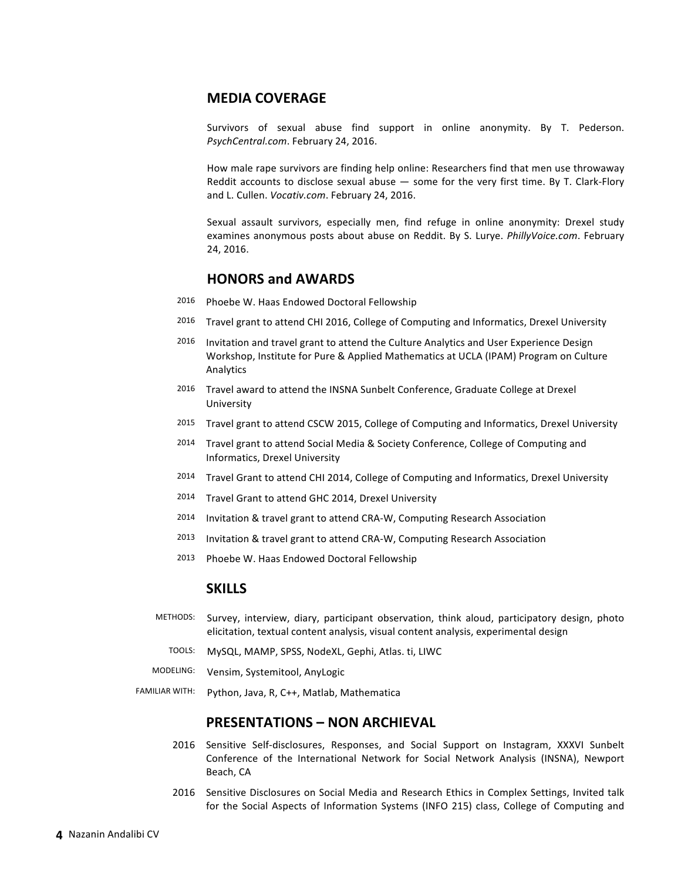## **MEDIA COVERAGE**

Survivors of sexual abuse find support in online anonymity. By T. Pederson. PsychCentral.com. February 24, 2016.

How male rape survivors are finding help online: Researchers find that men use throwaway Reddit accounts to disclose sexual abuse  $-$  some for the very first time. By T. Clark-Flory and L. Cullen. *Vocativ.com*. February 24, 2016.

Sexual assault survivors, especially men, find refuge in online anonymity: Drexel study examines anonymous posts about abuse on Reddit. By S. Lurye. *PhillyVoice.com*. February 24, 2016.

## **HONORS and AWARDS**

- 2016 Phoebe W. Haas Endowed Doctoral Fellowship
- 2016 Travel grant to attend CHI 2016, College of Computing and Informatics, Drexel University
- 2016 Invitation and travel grant to attend the Culture Analytics and User Experience Design Workshop, Institute for Pure & Applied Mathematics at UCLA (IPAM) Program on Culture Analytics
- 2016 Travel award to attend the INSNA Sunbelt Conference, Graduate College at Drexel University
- 2015 Travel grant to attend CSCW 2015, College of Computing and Informatics, Drexel University
- 2014 Travel grant to attend Social Media & Society Conference, College of Computing and Informatics, Drexel University
- 2014 Travel Grant to attend CHI 2014, College of Computing and Informatics, Drexel University
- 2014 Travel Grant to attend GHC 2014, Drexel University
- 2014 Invitation & travel grant to attend CRA-W, Computing Research Association
- 2013 Invitation & travel grant to attend CRA-W, Computing Research Association
- 2013 Phoebe W. Haas Endowed Doctoral Fellowship

## **SKILLS**

- METHODS: Survey, interview, diary, participant observation, think aloud, participatory design, photo elicitation, textual content analysis, visual content analysis, experimental design
	- TOOLS: MySQL, MAMP, SPSS, NodeXL, Gephi, Atlas. ti, LIWC
- MODELING: Vensim, Systemitool, AnyLogic
- FAMILIAR WITH: Python, Java, R, C++, Matlab, Mathematica

## **PRESENTATIONS – NON ARCHIEVAL**

- 2016 Sensitive Self-disclosures, Responses, and Social Support on Instagram, XXXVI Sunbelt Conference of the International Network for Social Network Analysis (INSNA), Newport Beach, CA
- 2016 Sensitive Disclosures on Social Media and Research Ethics in Complex Settings, Invited talk for the Social Aspects of Information Systems (INFO 215) class, College of Computing and